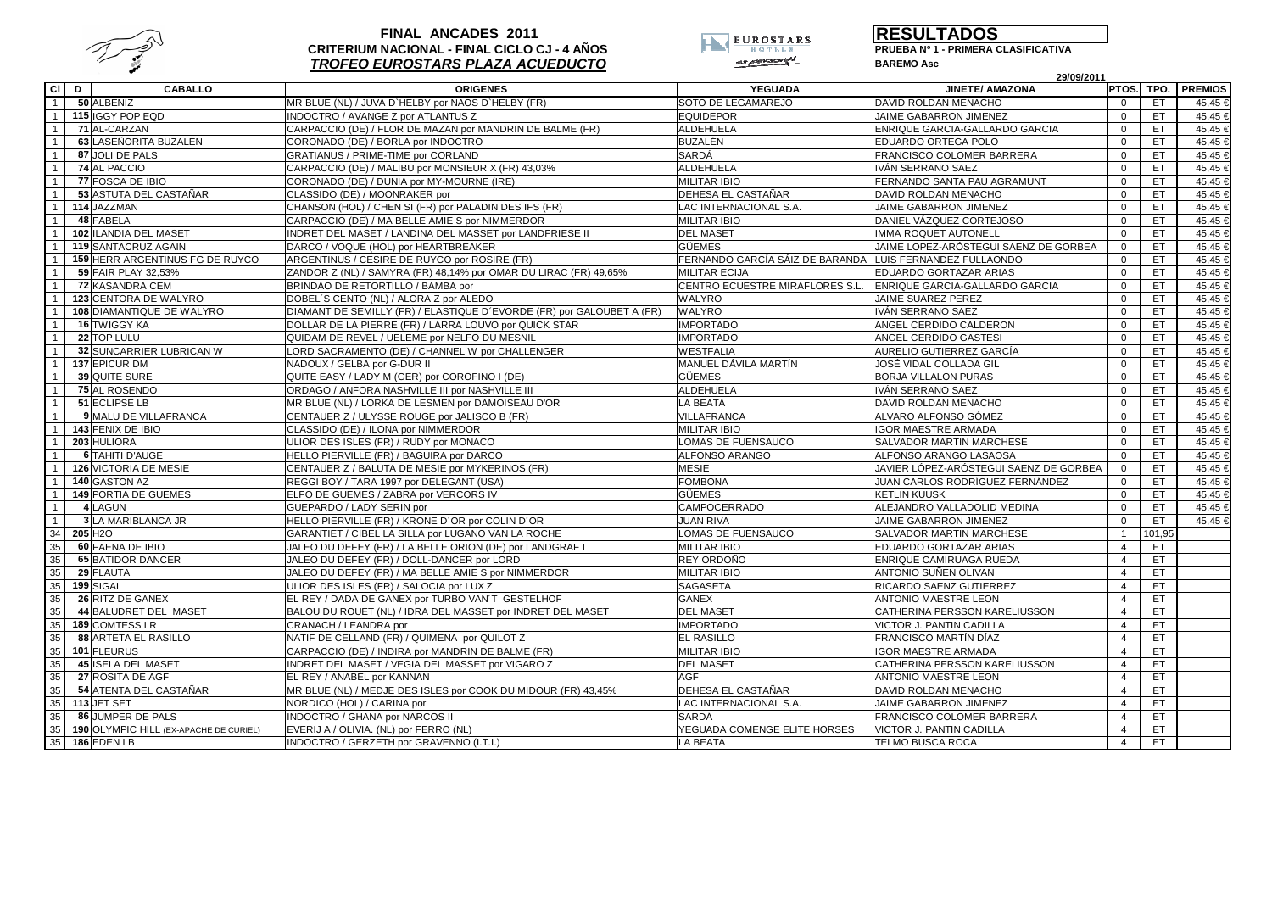

## **FINAL ANCADES 2011 CRITERIUM NACIONAL - FINAL CICLO CJ - 4 AÑOS TROFEO EUROSTARS PLAZA ACUEDUCTO**



**RESULTADOS**

**PRUEBA Nº 1 - PRIMERA CLASIFICATIVA**

**BAREMO Asc**

| ď                                                   | 29/09/2011                                                            |                                 |                                        |                |        |                |
|-----------------------------------------------------|-----------------------------------------------------------------------|---------------------------------|----------------------------------------|----------------|--------|----------------|
| CI D<br><b>CABALLO</b>                              | <b>ORIGENES</b>                                                       | <b>YEGUADA</b>                  | <b>JINETE/ AMAZONA</b>                 | PTOS. TPO.     |        | <b>PREMIOS</b> |
| 50 ALBENIZ<br>$\overline{1}$                        | MR BLUE (NL) / JUVA D'HELBY por NAOS D'HELBY (FR)                     | SOTO DE LEGAMAREJO              | DAVID ROLDAN MENACHO                   |                | ET.    | 45,45 €        |
| $\overline{1}$<br>115 IGGY POP EQD                  | INDOCTRO / AVANGE Z por ATLANTUS Z                                    | <b>EQUIDEPOR</b>                | JAIME GABARRON JIMENEZ                 | $\Omega$       | ET.    | 45,45€         |
| 71 AL-CARZAN<br>$\overline{1}$                      | CARPACCIO (DE) / FLOR DE MAZAN por MANDRIN DE BALME (FR)              | <b>ALDEHUELA</b>                | ENRIQUE GARCIA-GALLARDO GARCIA         | $\Omega$       | ET.    | 45.45€         |
| 63 LASEÑORITA BUZALEN<br>$\overline{1}$             | CORONADO (DE) / BORLA por INDOCTRO                                    | <b>BUZALÉN</b>                  | EDUARDO ORTEGA POLO                    | $\mathbf 0$    | ET     | 45,45€         |
| 87 JOLI DE PALS<br>$\overline{1}$                   | <b>GRATIANUS / PRIME-TIME por CORLAND</b>                             | <b>SARDÁ</b>                    | FRANCISCO COLOMER BARRERA              | $\Omega$       | ET.    | 45,45€         |
| 74 AL PACCIO<br>$\mathbf{1}$                        | CARPACCIO (DE) / MALIBU por MONSIEUR X (FR) 43,03%                    | <b>ALDEHUELA</b>                | IVÁN SERRANO SAEZ                      | $\Omega$       | ET.    | $45,45$ €      |
| 77 FOSCA DE IBIO<br>$\overline{1}$                  | CORONADO (DE) / DUNIA por MY-MOURNE (IRE)                             | <b>MILITAR IBIO</b>             | FERNANDO SANTA PAU AGRAMUNT            | $\Omega$       | ET.    | 45,45€         |
| 53 ASTUTA DEL CASTAÑAR                              | CLASSIDO (DE) / MOONRAKER por                                         | DEHESA EL CASTAÑAR              | DAVID ROLDAN MENACHO                   | $\Omega$       | ET.    | 45,45€         |
| 114 JAZZMAN<br>$\overline{1}$                       | CHANSON (HOL) / CHEN SI (FR) por PALADIN DES IFS (FR)                 | LAC INTERNACIONAL S.A.          | JAIME GABARRON JIMENEZ                 | $\Omega$       | ET.    | 45,45€         |
| 48 FABELA<br>$\overline{1}$                         | CARPACCIO (DE) / MA BELLE AMIE S por NIMMERDOR                        | <b>MILITAR IBIO</b>             | DANIEL VÁZQUEZ CORTEJOSO               | $\Omega$       | ET     | 45,45          |
| 102 ILANDIA DEL MASET<br>$\overline{1}$             | INDRET DEL MASET / LANDINA DEL MASSET por LANDFRIESE II               | <b>DEL MASET</b>                | IMMA ROQUET AUTONELL                   | $\mathbf{0}$   | ET.    | $45,45$ €      |
| $\overline{1}$<br><b>119 SANTACRUZ AGAIN</b>        | DARCO / VOQUE (HOL) por HEARTBREAKER                                  | <b>GÜEMES</b>                   | JAIME LOPEZ-ARÓSTEGUI SAENZ DE GORBEA  | $\mathbf 0$    | ET.    | 45,45€         |
| 159 HERR ARGENTINUS FG DE RUYCO<br>$\overline{1}$   | ARGENTINUS / CESIRE DE RUYCO por ROSIRE (FR)                          | FERNANDO GARCÍA SÁIZ DE BARANDA | LUIS FERNANDEZ FULLAONDO               | $\mathbf 0$    | ET.    | $45,45$ €      |
| $\overline{1}$<br>59 FAIR PLAY 32,53%               | ZANDOR Z (NL) / SAMYRA (FR) 48,14% por OMAR DU LIRAC (FR) 49,65%      | <b>MILITAR ECIJA</b>            | EDUARDO GORTAZAR ARIAS                 | $\Omega$       | ET.    | 45,45€         |
| <b>72 KASANDRA CEM</b>                              | BRINDAO DE RETORTILLO / BAMBA por                                     | CENTRO ECUESTRE MIRAFLORES S.L  | ENRIQUE GARCIA-GALLARDO GARCIA         | $\Omega$       | ET.    | 45,45€         |
| 123 CENTORA DE WALYRO<br>$\overline{1}$             | DOBEL'S CENTO (NL) / ALORA Z por ALEDO                                | WALYRO                          | JAIME SUAREZ PEREZ                     | $\Omega$       | ET     | 45,45 €        |
| 108 DIAMANTIQUE DE WALYRO<br>$\overline{1}$         | DIAMANT DE SEMILLY (FR) / ELASTIQUE D'EVORDE (FR) por GALOUBET A (FR) | WALYRO                          | IVÁN SERRANO SAEZ                      | $\Omega$       | ET.    | 45,45€         |
| <b>16 TWIGGY KA</b><br>$\overline{1}$               | DOLLAR DE LA PIERRE (FR) / LARRA LOUVO por QUICK STAR                 | <b>IMPORTADO</b>                | ANGEL CERDIDO CALDERON                 | $\Omega$       | ET.    | 45,45€         |
| 22 TOP LULU<br>$\overline{1}$                       | QUIDAM DE REVEL / UELEME por NELFO DU MESNIL                          | <b>IMPORTADO</b>                | ANGEL CERDIDO GASTESI                  | $\Omega$       | ET.    | 45,45 €        |
| 32 SUNCARRIER LUBRICAN W<br>$\overline{1}$          | LORD SACRAMENTO (DE) / CHANNEL W por CHALLENGER                       | <b>WESTFALIA</b>                | AURELIO GUTIERREZ GARCÍA               | $\Omega$       | ET.    | 45,45€         |
| 137 EPICUR DM<br>$\overline{1}$                     | NADOUX / GELBA por G-DUR II                                           | MANUEL DÁVILA MARTÍN            | JOSÉ VIDAL COLLADA GIL                 | $\Omega$       | ET.    | 45,45€         |
| 39 QUITE SURE<br>$\overline{1}$                     | QUITE EASY / LADY M (GER) por COROFINO I (DE)                         | <b>GÜEMES</b>                   | <b>BORJA VILLALON PURAS</b>            | $\Omega$       | ET.    | 45,45€         |
| $\overline{1}$<br>75 AL ROSENDO                     | ORDAGO / ANFORA NASHVILLE III por NASHVILLE III                       | <b>ALDEHUELA</b>                | IVÁN SERRANO SAEZ                      | $\Omega$       | ET.    | 45,45 €        |
| 51 ECLIPSE LB<br>$\overline{1}$                     | MR BLUE (NL) / LORKA DE LESMEN por DAMOISEAU D'OR                     | <b>LA BEATA</b>                 | DAVID ROLDAN MENACHO                   | $\Omega$       | ET     | 45,45€         |
| $\overline{1}$<br>9 MALU DE VILLAFRANCA             | CENTAUER Z / ULYSSE ROUGE por JALISCO B (FR)                          | VILLAFRANCA                     | ALVARO ALFONSO GÓMEZ                   | $\Omega$       | ET.    | $45,45$ €      |
| $\overline{1}$<br>143 FENIX DE IBIO                 | CLASSIDO (DE) / ILONA por NIMMERDOR                                   | <b>MILITAR IBIO</b>             | <b>IGOR MAESTRE ARMADA</b>             | $\Omega$       | ET.    | 45,45€         |
| 203 HULIORA<br>$\overline{1}$                       | ULIOR DES ISLES (FR) / RUDY por MONACO                                | LOMAS DE FUENSAUCO              | SALVADOR MARTIN MARCHESE               | $\Omega$       | ET.    | 45,45€         |
| <b>6 TAHITI D'AUGE</b><br>$\overline{1}$            | HELLO PIERVILLE (FR) / BAGUIRA por DARCO                              | ALFONSO ARANGO                  | ALFONSO ARANGO LASAOSA                 | $\Omega$       | ET.    | $45,45$ €      |
| 126 VICTORIA DE MESIE                               | CENTAUER Z / BALUTA DE MESIE por MYKERINOS (FR)                       | <b>MESIE</b>                    | JAVIER LÓPEZ-ARÓSTEGUI SAENZ DE GORBEA | $\Omega$       | ET.    | 45,45€         |
| 140 GASTON AZ<br>$\overline{1}$                     | REGGI BOY / TARA 1997 por DELEGANT (USA)                              | <b>FOMBONA</b>                  | JUAN CARLOS RODRÍGUEZ FERNÁNDEZ        | $\Omega$       | ET.    | 45,45 €        |
| <b>149 PORTIA DE GUEMES</b><br>$\overline{1}$       | ELFO DE GUEMES / ZABRA por VERCORS IV                                 | <b>GÜEMES</b>                   | <b>KETLIN KUUSK</b>                    | $\Omega$       | ET.    | 45,45€         |
| 4 LAGUN<br>$\overline{1}$                           | GUEPARDO / LADY SERIN por                                             | CAMPOCERRADO                    | ALEJANDRO VALLADOLID MEDINA            | $\Omega$       | ET.    | 45,45 €        |
| $\overline{1}$<br>3 LA MARIBLANCA JR                | HELLO PIERVILLE (FR) / KRONE D'OR por COLIN D'OR                      | <b>JUAN RIVA</b>                | JAIME GABARRON JIMENEZ                 | $\mathbf 0$    | ET     | 45,45€         |
| 34<br>205 H <sub>2O</sub>                           | GARANTIET / CIBEL LA SILLA por LUGANO VAN LA ROCHE                    | LOMAS DE FUENSAUCO              | SALVADOR MARTIN MARCHESE               |                | 101,95 |                |
| 35<br>60 FAENA DE IBIO                              | JALEO DU DEFEY (FR) / LA BELLE ORION (DE) por LANDGRAF I              | <b>MILITAR IBIO</b>             | EDUARDO GORTAZAR ARIAS                 | $\overline{4}$ | ET.    |                |
| 35<br><b>65 BATIDOR DANCER</b>                      | JALEO DU DEFEY (FR) / DOLL-DANCER por LORD                            | REY ORDOÑO                      | ENRIQUE CAMIRUAGA RUEDA                | $\overline{4}$ | ET.    |                |
| 35<br>29 FLAUTA                                     | JALEO DU DEFEY (FR) / MA BELLE AMIE S por NIMMERDOR                   | <b>MILITAR IBIO</b>             | ANTONIO SUÑEN OLIVAN                   | $\overline{4}$ | ET.    |                |
| 35<br>199 SIGAL                                     | ULIOR DES ISLES (FR) / SALOCIA por LUX Z                              | <b>SAGASETA</b>                 | RICARDO SAENZ GUTIERREZ                | $\overline{4}$ | ET.    |                |
| 35<br>26 RITZ DE GANEX                              | EL REY / DADA DE GANEX por TURBO VAN'T GESTELHOF                      | <b>GANEX</b>                    | ANTONIO MAESTRE LEON                   | $\overline{4}$ | ET     |                |
| 35<br>44 BALUDRET DEL MASET                         | BALOU DU ROUET (NL) / IDRA DEL MASSET por INDRET DEL MASET            | <b>DEL MASET</b>                | CATHERINA PERSSON KARELIUSSON          | $\overline{4}$ | ET.    |                |
| 35<br>189 COMTESS LR                                | CRANACH / LEANDRA por                                                 | <b>IMPORTADO</b>                | VICTOR J. PANTIN CADILLA               | $\overline{4}$ | ET.    |                |
| 35<br>88 ARTETA EL RASILLO                          | NATIF DE CELLAND (FR) / QUIMENA por QUILOT Z                          | EL RASILLO                      | FRANCISCO MARTÍN DÍAZ                  | $\Delta$       | ET.    |                |
| 35<br>101 FLEURUS                                   | CARPACCIO (DE) / INDIRA por MANDRIN DE BALME (FR)                     | <b>MILITAR IBIO</b>             | <b>IGOR MAESTRE ARMADA</b>             | $\Delta$       | ET.    |                |
| 35<br><b>45 ISELA DEL MASET</b>                     | INDRET DEL MASET / VEGIA DEL MASSET por VIGARO Z                      | <b>DEL MASET</b>                | CATHERINA PERSSON KARELIUSSON          | $\overline{4}$ | ET.    |                |
| 35<br>27 ROSITA DE AGF                              | EL REY / ANABEL por KANNAN                                            | <b>AGF</b>                      | ANTONIO MAESTRE LEON                   | $\overline{4}$ | ET     |                |
| 35<br>54 ATENTA DEL CASTAÑAR                        | MR BLUE (NL) / MEDJE DES ISLES por COOK DU MIDOUR (FR) 43,45%         | DEHESA EL CASTAÑAR              | DAVID ROLDAN MENACHO                   | $\overline{4}$ | ET.    |                |
| 35<br>113 JET SET                                   | NORDICO (HOL) / CARINA por                                            | LAC INTERNACIONAL S.A.          | JAIME GABARRON JIMENEZ                 | $\overline{4}$ | ET.    |                |
| 35<br>86 JUMPER DE PALS                             | <b>INDOCTRO / GHANA por NARCOS II</b>                                 | SARDÁ                           | FRANCISCO COLOMER BARRERA              | $\overline{4}$ | ET.    |                |
| 35<br><b>190 OLYMPIC HILL (EX-APACHE DE CURIEL)</b> | EVERIJ A / OLIVIA. (NL) por FERRO (NL)                                | YEGUADA COMENGE ELITE HORSES    | VICTOR J. PANTIN CADILLA               | $\overline{4}$ | ET.    |                |
| 35 186 EDEN LB                                      | INDOCTRO / GERZETH por GRAVENNO (I.T.I.)                              | <b>LA BEATA</b>                 | <b>TELMO BUSCA ROCA</b>                | $\overline{4}$ | ET.    |                |
|                                                     |                                                                       |                                 |                                        |                |        |                |